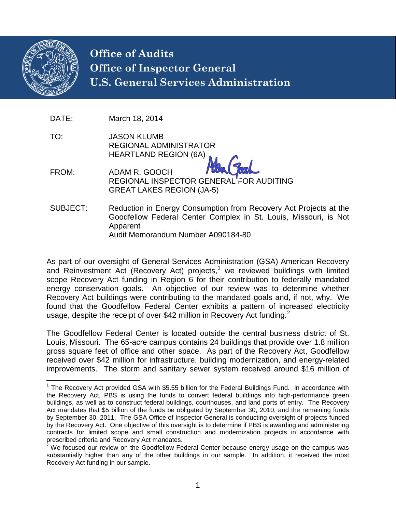

# **Office of Audits Office of Inspector General U.S. General Services Administration**

- DATE: March 18, 2014
- TO: JASON KLUMB REGIONAL ADMINISTRATOR HEARTLAND REGION (6A)
- FROM: ADAM R. GOOCH REGIONAL INSPECTOR GENERAL FOR AUDITING GREAT LAKES REGION (JA-5)
- SUBJECT: Reduction in Energy Consumption from Recovery Act Projects at the Goodfellow Federal Center Complex in St. Louis, Missouri, is Not Apparent Audit Memorandum Number A090184-80

As part of our oversight of General Services Administration (GSA) American Recovery and Reinvestment Act (Recovery Act) projects,<sup>[1](#page-0-0)</sup> we reviewed buildings with limited scope Recovery Act funding in Region 6 for their contribution to federally mandated energy conservation goals. An objective of our review was to determine whether Recovery Act buildings were contributing to the mandated goals and, if not, why. We found that the Goodfellow Federal Center exhibits a pattern of increased electricity usage, despite the receipt of over \$4[2](#page-0-1) million in Recovery Act funding.<sup>2</sup>

The Goodfellow Federal Center is located outside the central business district of St. Louis, Missouri. The 65-acre campus contains 24 buildings that provide over 1.8 million gross square feet of office and other space. As part of the Recovery Act, Goodfellow received over \$42 million for infrastructure, building modernization, and energy-related improvements. The storm and sanitary sewer system received around \$16 million of

<span id="page-0-0"></span><sup>&</sup>lt;sup>1</sup> The Recovery Act provided GSA with \$5.55 billion for the Federal Buildings Fund. In accordance with the Recovery Act, PBS is using the funds to convert federal buildings into high-performance green buildings, as well as to construct federal buildings, courthouses, and land ports of entry. The Recovery Act mandates that \$5 billion of the funds be obligated by September 30, 2010, and the remaining funds by September 30, 2011. The GSA Office of Inspector General is conducting oversight of projects funded by the Recovery Act. One objective of this oversight is to determine if PBS is awarding and administering contracts for limited scope and small construction and modernization projects in accordance with prescribed criteria and Recovery Act mandates.

<span id="page-0-1"></span><sup>&</sup>lt;sup>2</sup> We focused our review on the Goodfellow Federal Center because energy usage on the campus was substantially higher than any of the other buildings in our sample. In addition, it received the most Recovery Act funding in our sample.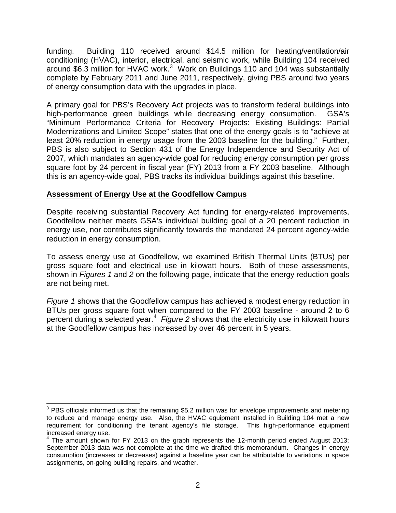funding. Building 110 received around \$14.5 million for heating/ventilation/air conditioning (HVAC), interior, electrical, and seismic work, while Building 104 received around \$6.[3](#page-1-0) million for HVAC work. $3$  Work on Buildings 110 and 104 was substantially complete by February 2011 and June 2011, respectively, giving PBS around two years of energy consumption data with the upgrades in place.

A primary goal for PBS's Recovery Act projects was to transform federal buildings into high-performance green buildings while decreasing energy consumption. GSA's "Minimum Performance Criteria for Recovery Projects: Existing Buildings: Partial Modernizations and Limited Scope" states that one of the energy goals is to "achieve at least 20% reduction in energy usage from the 2003 baseline for the building." Further, PBS is also subject to Section 431 of the Energy Independence and Security Act of 2007, which mandates an agency-wide goal for reducing energy consumption per gross square foot by 24 percent in fiscal year (FY) 2013 from a FY 2003 baseline. Although this is an agency-wide goal, PBS tracks its individual buildings against this baseline.

#### **Assessment of Energy Use at the Goodfellow Campus**

Despite receiving substantial Recovery Act funding for energy-related improvements, Goodfellow neither meets GSA's individual building goal of a 20 percent reduction in energy use, nor contributes significantly towards the mandated 24 percent agency-wide reduction in energy consumption.

To assess energy use at Goodfellow, we examined British Thermal Units (BTUs) per gross square foot and electrical use in kilowatt hours. Both of these assessments, shown in *Figures 1* and *2* on the following page, indicate that the energy reduction goals are not being met.

*Figure 1* shows that the Goodfellow campus has achieved a modest energy reduction in BTUs per gross square foot when compared to the FY 2003 baseline - around 2 to 6 percent during a selected year. [4](#page-1-1) *Figure 2* shows that the electricity use in kilowatt hours at the Goodfellow campus has increased by over 46 percent in 5 years.

<span id="page-1-0"></span><sup>&</sup>lt;sup>3</sup> PBS officials informed us that the remaining \$5.2 million was for envelope improvements and metering to reduce and manage energy use. Also, the HVAC equipment installed in Building 104 met a new requirement for conditioning the tenant agency's file storage. This high-performance equipment increased energy use.

<span id="page-1-1"></span> $4$  The amount shown for FY 2013 on the graph represents the 12-month period ended August 2013; September 2013 data was not complete at the time we drafted this memorandum. Changes in energy consumption (increases or decreases) against a baseline year can be attributable to variations in space assignments, on-going building repairs, and weather.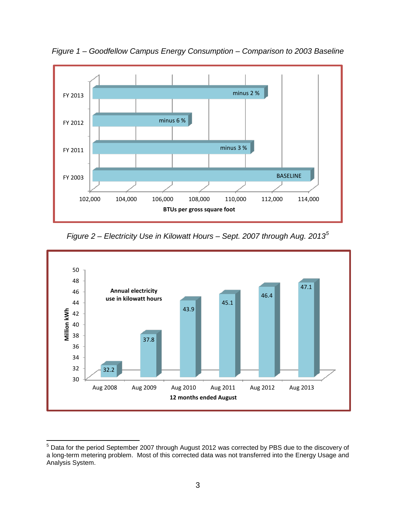

*Figure 1 – Goodfellow Campus Energy Consumption – Comparison to 2003 Baseline*

*Figure 2 – Electricity Use in Kilowatt Hours – Sept. 2007 through Aug. 2013[5](#page-2-0)*



<span id="page-2-0"></span><sup>5</sup> Data for the period September 2007 through August 2012 was corrected by PBS due to the discovery of a long-term metering problem. Most of this corrected data was not transferred into the Energy Usage and Analysis System.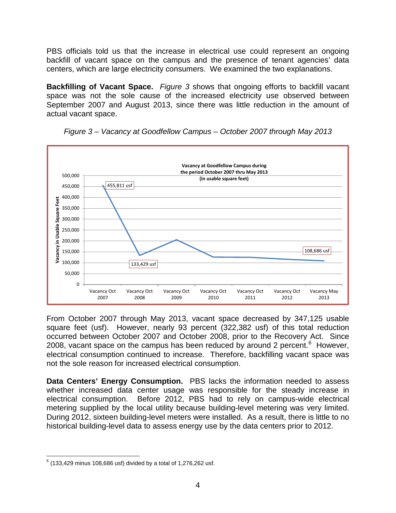PBS officials told us that the increase in electrical use could represent an ongoing backfill of vacant space on the campus and the presence of tenant agencies' data centers, which are large electricity consumers. We examined the two explanations.

**Backfilling of Vacant Space.** *Figure 3* shows that ongoing efforts to backfill vacant space was not the sole cause of the increased electricity use observed between September 2007 and August 2013, since there was little reduction in the amount of actual vacant space.





From October 2007 through May 2013, vacant space decreased by 347,125 usable square feet (usf). However, nearly 93 percent (322,382 usf) of this total reduction occurred between October 2007 and October 2008, prior to the Recovery Act. Since 2008, vacant space on the campus has been reduced by around 2 percent. $6$  However, electrical consumption continued to increase. Therefore, backfilling vacant space was not the sole reason for increased electrical consumption.

**Data Centers' Energy Consumption.** PBS lacks the information needed to assess whether increased data center usage was responsible for the steady increase in electrical consumption. Before 2012, PBS had to rely on campus-wide electrical metering supplied by the local utility because building-level metering was very limited. During 2012, sixteen building-level meters were installed. As a result, there is little to no historical building-level data to assess energy use by the data centers prior to 2012.

<span id="page-3-0"></span> $6$  (133,429 minus 108,686 usf) divided by a total of 1,276,262 usf.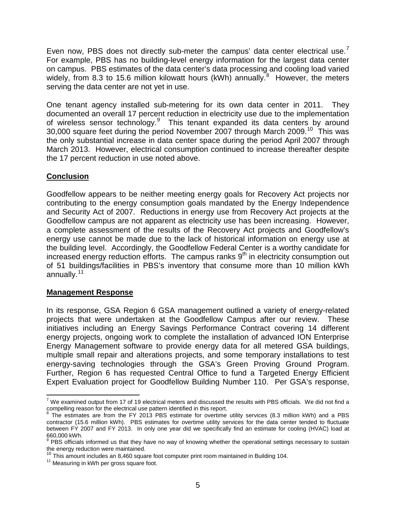Even now, PBS does not directly sub-meter the campus' data center electrical use.<sup>[7](#page-4-0)</sup> For example, PBS has no building-level energy information for the largest data center on campus. PBS estimates of the data center's data processing and cooling load varied widely, from [8](#page-4-1).3 to 15.6 million kilowatt hours (kWh) annually.<sup>8</sup> However, the meters serving the data center are not yet in use.

One tenant agency installed sub-metering for its own data center in 2011. They documented an overall 17 percent reduction in electricity use due to the implementation of wireless sensor technology.<sup>[9](#page-4-2)</sup> This tenant expanded its data centers by around 30,000 square feet during the period November 2007 through March 2009.<sup>[10](#page-4-3)</sup> This was the only substantial increase in data center space during the period April 2007 through March 2013. However, electrical consumption continued to increase thereafter despite the 17 percent reduction in use noted above.

### **Conclusion**

Goodfellow appears to be neither meeting energy goals for Recovery Act projects nor contributing to the energy consumption goals mandated by the Energy Independence and Security Act of 2007. Reductions in energy use from Recovery Act projects at the Goodfellow campus are not apparent as electricity use has been increasing. However, a complete assessment of the results of the Recovery Act projects and Goodfellow's energy use cannot be made due to the lack of historical information on energy use at the building level. Accordingly, the Goodfellow Federal Center is a worthy candidate for increased energy reduction efforts. The campus ranks  $9<sup>th</sup>$  in electricity consumption out of 51 buildings/facilities in PBS's inventory that consume more than 10 million kWh annually.<sup>[11](#page-4-4)</sup>

### **Management Response**

In its response, GSA Region 6 GSA management outlined a variety of energy-related projects that were undertaken at the Goodfellow Campus after our review. These initiatives including an Energy Savings Performance Contract covering 14 different energy projects, ongoing work to complete the installation of advanced ION Enterprise Energy Management software to provide energy data for all metered GSA buildings, multiple small repair and alterations projects, and some temporary installations to test energy-saving technologies through the GSA's Green Proving Ground Program. Further, Region 6 has requested Central Office to fund a Targeted Energy Efficient Expert Evaluation project for Goodfellow Building Number 110. Per GSA's response,

<span id="page-4-0"></span> $7$  We examined output from 17 of 19 electrical meters and discussed the results with PBS officials. We did not find a compelling reason for the electrical use pattern identified in this report.

<span id="page-4-1"></span><sup>&</sup>lt;sup>8</sup> The estimates are from the FY 2013 PBS estimate for overtime utility services (8.3 million kWh) and a PBS contractor (15.6 million kWh). PBS estimates for overtime utility services for the data center tended to fluctuate between FY 2007 and FY 2013. In only one year did we specifically find an estimate for cooling (HVAC) load at 660,000 kWh.

<span id="page-4-2"></span>PBS officials informed us that they have no way of knowing whether the operational settings necessary to sustain the energy reduction were maintained.<br><sup>10</sup> This amount includes an 8,460 square foot computer print room maintained in Building 104.<br><sup>11</sup> Measuring in kWh per gross square foot.

<span id="page-4-3"></span>

<span id="page-4-4"></span>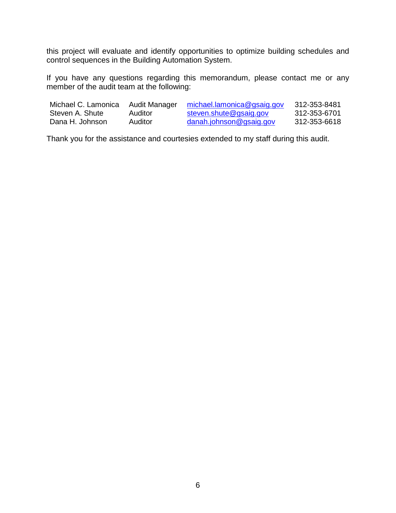this project will evaluate and identify opportunities to optimize building schedules and control sequences in the Building Automation System.

If you have any questions regarding this memorandum, please contact me or any member of the audit team at the following:

| Michael C. Lamonica | Audit Manager | michael.lamonica@gsaig.gov | 312-353-8481 |
|---------------------|---------------|----------------------------|--------------|
| Steven A. Shute     | Auditor       | steven.shute@gsaig.gov     | 312-353-6701 |
| Dana H. Johnson     | Auditor       | danah.johnson@gsaig.gov    | 312-353-6618 |

Thank you for the assistance and courtesies extended to my staff during this audit.